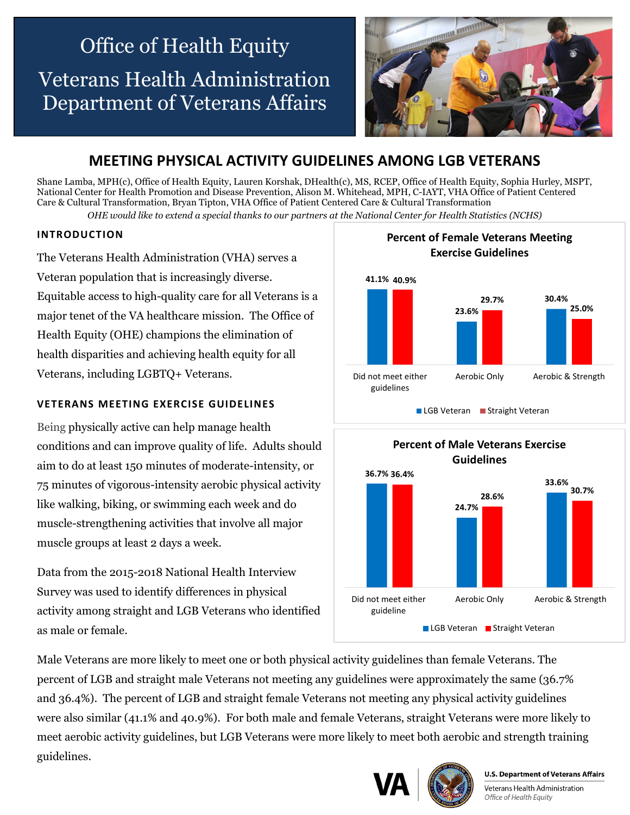# Office of Health Equity Veterans Health Administration Department of Veterans Affairs



# **MEETING PHYSICAL ACTIVITY GUIDELINES AMONG LGB VETERANS**

Shane Lamba, MPH(c), Office of Health Equity, Lauren Korshak, DHealth(c), MS, RCEP, Office of Health Equity, Sophia Hurley, MSPT, National Center for Health Promotion and Disease Prevention, Alison M. Whitehead, MPH, C-IAYT, VHA Office of Patient Centered Care & Cultural Transformation, Bryan Tipton, VHA Office of Patient Centered Care & Cultural Transformation *OHE would like to extend a special thanks to our partners at the National Center for Health Statistics (NCHS)*

### **INTRODUCTION**

The Veterans Health Administration (VHA) serves a Veteran population that is increasingly diverse. Equitable access to high-quality care for all Veterans is a major tenet of the VA healthcare mission. The Office of Health Equity (OHE) champions the elimination of health disparities and achieving health equity for all Veterans, including LGBTQ+ Veterans.

# **VETERANS MEETING EXERCISE GUIDELINES**

Being physically active can help manage health conditions and can improve quality of life. Adults should aim to do at least 150 minutes of moderate-intensity, or 75 minutes of vigorous-intensity aerobic physical activity like walking, biking, or swimming each week and do muscle-strengthening activities that involve all major muscle groups at least 2 days a week.

Data from the 2015-2018 National Health Interview Survey was used to identify differences in physical activity among straight and LGB Veterans who identified as male or female.





Male Veterans are more likely to meet one or both physical activity guidelines than female Veterans. The percent of LGB and straight male Veterans not meeting any guidelines were approximately the same (36.7% and 36.4%). The percent of LGB and straight female Veterans not meeting any physical activity guidelines were also similar (41.1% and 40.9%). For both male and female Veterans, straight Veterans were more likely to meet aerobic activity guidelines, but LGB Veterans were more likely to meet both aerobic and strength training guidelines.





**U.S. Department of Veterans Affairs** 

Veterans Health Administration Office of Health Equity